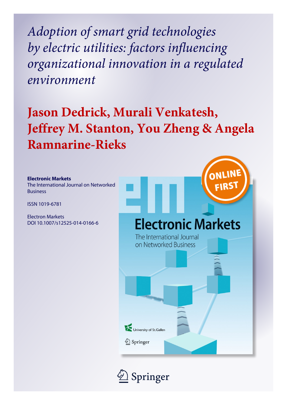*Adoption of smart grid technologies by electric utilities: factors influencing organizational innovation in a regulated environment*

# **Jason Dedrick, Murali Venkatesh, Jeffrey M. Stanton, You Zheng & Angela Ramnarine-Rieks**



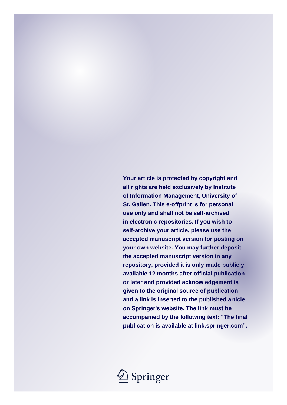**Your article is protected by copyright and all rights are held exclusively by Institute of Information Management, University of St. Gallen. This e-offprint is for personal use only and shall not be self-archived in electronic repositories. If you wish to self-archive your article, please use the accepted manuscript version for posting on your own website. You may further deposit the accepted manuscript version in any repository, provided it is only made publicly available 12 months after official publication or later and provided acknowledgement is given to the original source of publication and a link is inserted to the published article on Springer's website. The link must be accompanied by the following text: "The final publication is available at link.springer.com".**

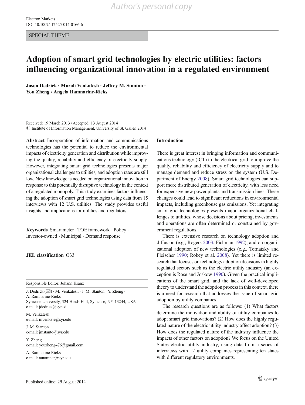SPECIAL THEME

# Adoption of smart grid technologies by electric utilities: factors influencing organizational innovation in a regulated environment

Jason Dedrick · Murali Venkatesh · Jeffrey M. Stanton · You Zheng · Angela Ramnarine-Rieks

Received: 19 March 2013 /Accepted: 13 August 2014  $\odot$  Institute of Information Management, University of St. Gallen 2014

Abstract Incorporation of information and communications technologies has the potential to reduce the environmental impacts of electricity generation and distribution while improving the quality, reliability and efficiency of electricity supply. However, integrating smart grid technologies presents major organizational challenges to utilities, and adoption rates are still low. New knowledge is needed on organizational innovation in response to this potentially disruptive technology in the context of a regulated monopoly. This study examines factors influencing the adoption of smart grid technologies using data from 15 interviews with 12 U.S. utilities. The study provides useful insights and implications for utilities and regulators.

Keywords Smart meter . TOE framework . Policy . Investor-owned . Municipal . Demand response

JEL classification O33

Responsible Editor: Johann Kranz

J. Dedrick  $(\boxtimes) \cdot M$ . Venkatesh  $\cdot$  J. M. Stanton  $\cdot$  Y. Zheng  $\cdot$ A. Ramnarine-Rieks Syracuse University, 324 Hinds Hall, Syracuse, NY 13244, USA e-mail: jdedrick@syr.edu

M. Venkatesh e-mail: mvenkate@syr.edu

J. M. Stanton e-mail: jmstanto@syr.edu

Y. Zheng e-mail: youzheng476@gmail.com

A. Ramnarine-Rieks e-mail: auramnar@syr.edu

#### Introduction

There is great interest in bringing information and communications technology (ICT) to the electrical grid to improve the quality, reliability and efficiency of electricity supply and to manage demand and reduce stress on the system (U.S. Department of Energy [2008](#page-14-0)). Smart grid technologies can support more distributed generation of electricity, with less need for expensive new power plants and transmission lines. These changes could lead to significant reductions in environmental impacts, including greenhouse gas emissions. Yet integrating smart grid technologies presents major organizational challenges to utilities, whose decisions about pricing, investments and operations are often determined or constrained by government regulations.

There is extensive research on technology adoption and diffusion (e.g., Rogers [2003](#page-14-0); Fichman [1992](#page-14-0)), and on organizational adoption of new technologies (e.g., Tornatzky and Fleischer [1990;](#page-14-0) Robey et al. [2008\)](#page-14-0). Yet there is limited research that focuses on technology adoption decisions in highly regulated sectors such as the electric utility industry (an exception is Rose and Joskow [1990](#page-14-0)). Given the practical implications of the smart grid, and the lack of well-developed theory to understand the adoption process in this context, there is a need for research that addresses the issue of smart grid adoption by utility companies.

The research questions are as follows: (1) What factors determine the motivation and ability of utility companies to adopt smart grid innovations? (2) How does the highly regulated nature of the electric utility industry affect adoption? (3) How does the regulated nature of the industry influence the impacts of other factors on adoption? We focus on the United States electric utility industry, using data from a series of interviews with 12 utility companies representing ten states with different regulatory environments.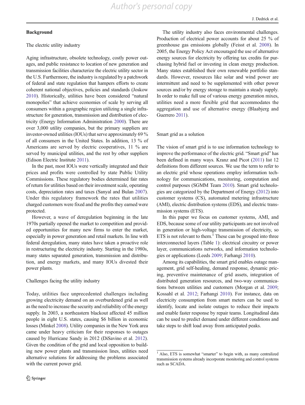#### Background

#### The electric utility industry

Aging infrastructure, obsolete technology, costly power outages, and public resistance to location of new generation and transmission facilities characterize the electric utility sector in the U.S. Furthermore, the industry is regulated by a patchwork of federal and state regulation that hampers efforts to create coherent national objectives, policies and standards (Joskow [2010\)](#page-14-0). Historically, utilities have been considered "natural monopolies" that achieve economies of scale by serving all consumers within a geographic region utilizing a single infrastructure for generation, transmission and distribution of electricity (Energy Information Administration [2000](#page-13-0)). There are over 3,000 utility companies, but the primary suppliers are investor-owned utilities (IOUs) that serve approximately 69 % of all consumers in the United States. In addition, 13 % of Americans are served by electric cooperatives, 11 % are served by municipal utilities, and the rest by other suppliers (Edison Electric Institute [2011](#page-13-0)).

In the past, most IOUs were vertically integrated and their prices and profits were controlled by state Public Utility Commissions. These regulatory bodies determined fair rates of return for utilities based on their investment scale, operating costs, depreciation rates and taxes (Sanyal and Bulan [2007\)](#page-14-0). Under this regulatory framework the rates that utilities charged customers were fixed and the profits they earned were protected.

However, a wave of deregulation beginning in the late 1970s partially opened the market to competition and provided opportunities for many new firms to enter the market, especially in power generation and retail markets. In line with federal deregulation, many states have taken a proactive role in restructuring the electricity industry. Starting in the 1980s, many states separated generation, transmission and distribution, and energy markets, and many IOUs divested their power plants.

#### Challenges facing the utility industry

Today, utilities face unprecedented challenges including growing electricity demand on an overburdened grid as well as the need to increase the security and reliability of the energy supply. In 2003, a northeastern blackout affected 45 million people in eight U.S. states, causing \$6 billion in economic losses (Minkel [2008](#page-14-0)). Utility companies in the New York area came under heavy criticism for their responses to outages caused by Hurricane Sandy in 2012 (DiSavino et al. [2012\)](#page-13-0). Given the condition of the grid and local opposition to building new power plants and transmission lines, utilities need alternative solutions for addressing the problems associated with the current power grid.

The utility industry also faces environmental challenges. Production of electrical power accounts for about 25 % of greenhouse gas emissions globally (Feisst et al. [2008](#page-13-0)). In 2005, the Energy Policy Act encouraged the use of alternative energy sources for electricity by offering tax credits for purchasing hybrid fuel or investing in clean energy production. Many states established their own renewable portfolio standards. However, resources like solar and wind power are intermittent and need to be supplemented with other power sources and/or by energy storage to maintain a steady supply. In order to make full use of various energy generation mixes, utilities need a more flexible grid that accommodates the aggregation and use of alternative energy (Blaabjerg and Guerrero [2011\)](#page-13-0).

#### Smart grid as a solution

The vision of smart grid is to use information technology to improve the performance of the electric grid. "Smart grid" has been defined in many ways. Kranz and Picot [\(2011\)](#page-14-0) list 12 definitions from different sources. We use the term to refer to an electric grid whose operations employ information technology for communications, monitoring, computation and control purposes (SGMM Team [2010](#page-14-0)). Smart grid technologies are categorized by the Department of Energy [\(2012\)](#page-14-0) into customer systems (CS), automated metering infrastructure (AMI), electric distribution systems (EDS), and electric transmission systems (ETS).

In this paper we focus on customer systems, AMI, and EDS, because some of our utility participants are not involved in generation or high-voltage transmission of electricity, so  $ETS$  is not relevant to them.<sup>1</sup> These can be grouped into three interconnected layers (Table [1](#page-4-0)): electrical circuitry or power layer, communications networks, and information technologies or applications (Leeds [2009;](#page-14-0) Farhangi [2010\)](#page-13-0).

Among its capabilities, the smart grid enables outage management, grid self-healing, demand response, dynamic pricing, preventive maintenance of grid assets, integration of distributed generation resources, and two-way communications between utilities and customers (Morgan et al. [2009;](#page-14-0) Kossahl et al. [2012;](#page-14-0) Farhangi [2010\)](#page-13-0). For instance, data on electricity consumption from smart meters can be used to identify, locate and isolate outages to reduce their impacts and enable faster response by repair teams. Longitudinal data can be used to predict demand under different conditions and take steps to shift load away from anticipated peaks.

<sup>&</sup>lt;sup>1</sup> Also, ETS is somewhat "smarter" to begin with, as many centralized transmission systems already incorporate monitoring and control systems such as SCADA.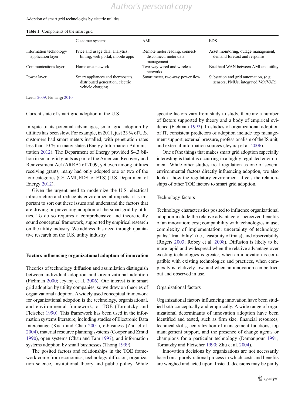#### <span id="page-4-0"></span>Adoption of smart grid technologies by electric utilities

| <b>Table 1</b> Components of the small gild  | <b>EDS</b><br>AMI<br>Customer systems                                                     |                                                                        |                                                                               |  |  |
|----------------------------------------------|-------------------------------------------------------------------------------------------|------------------------------------------------------------------------|-------------------------------------------------------------------------------|--|--|
|                                              |                                                                                           |                                                                        |                                                                               |  |  |
| Information technology/<br>application layer | Price and usage data, analytics,<br>billing, web portal, mobile apps                      | Remote meter reading, connect/<br>disconnect, meter data<br>management | Asset monitoring, outage management,<br>demand forecast and response          |  |  |
| Communications layer                         | Home area network                                                                         | Two-way wired and wireless<br>networks                                 | Backhaul WAN between AMI and utility                                          |  |  |
| Power layer                                  | Smart appliances and thermostats,<br>distributed generation, electric<br>vehicle charging | Smart meter, two-way power flow                                        | Substation and grid automation, (e.g.,<br>sensors, PMUs, integrated Volt/VAR) |  |  |

# Table 1 Components of the smart grid

Leeds [2009](#page-14-0); Farhangi [2010](#page-13-0)

Current state of smart grid adoption in the U.S.

In spite of its potential advantages, smart grid adoption by utilities has been slow. For example, in 2011, just 23 % of U.S. customers had smart meters installed, with penetration rates less than 10 % in many states (Energy Information Administration [2012\)](#page-13-0). The Department of Energy provided \$4.3 billion in smart grid grants as part of the American Recovery and Reinvestment Act (ARRA) of 2009, yet even among utilities receiving grants, many had only adopted one or two of the four categories (CS, AMI, EDS, or ETS) (U.S. Department of Energy [2012](#page-14-0)).

Given the urgent need to modernize the U.S. electrical infrastructure and reduce its environmental impacts, it is important to sort out these issues and understand the factors that are driving or preventing adoption of the smart grid by utilities. To do so requires a comprehensive and theoretically sound conceptual framework, supported by empirical research on the utility industry. We address this need through qualitative research on the U.S. utility industry.

# Factors influencing organizational adoption of innovation

Theories of technology diffusion and assimilation distinguish between individual adoption and organizational adoption (Fichman [2000;](#page-14-0) Jeyaraj et al. [2006](#page-14-0)). Our interest is in smart grid adoption by utility companies, so we draw on theories of organizational adoption. Awidely used conceptual framework for organizational adoption is the technology, organizational, and environmental framework, or TOE (Tornatzky and Fleischer [1990\)](#page-14-0). This framework has been used in the information systems literature, including studies of Electronic Data Interchange (Kuan and Chau [2001\)](#page-14-0), e-business (Zhu et al. [2004\)](#page-14-0), material resource planning systems (Cooper and Zmud [1990\)](#page-13-0), open systems (Chau and Tam [1997](#page-13-0)), and information systems adoption by small businesses (Thong [1999](#page-14-0)).

The posited factors and relationships in the TOE framework come from economics, technology diffusion, organization science, institutional theory and public policy. While specific factors vary from study to study, there are a number of factors supported by theory and a body of empirical evidence (Fichman [1992\)](#page-14-0). In studies of organizational adoption of IT, consistent predictors of adoption include top management support, external pressure, professionalism of the IS unit, and external information sources (Jeyaraj et al. [2006](#page-14-0)).

One of the things that makes smart grid adoption especially interesting is that it is occurring in a highly regulated environment. While other studies treat regulation as one of several environmental factors directly influencing adoption, we also look at how the regulatory environment affects the relationships of other TOE factors to smart grid adoption.

#### Technology factors

Technology characteristics posited to influence organizational adoption include the relative advantage or perceived benefits of an innovation; cost; compatibility with technologies in use; complexity of implementation; uncertainty of technology paths; "trialability" (i.e., feasibility of trials); and observability (Rogers [2003;](#page-14-0) Robey et al. [2008\)](#page-14-0). Diffusion is likely to be more rapid and widespread when the relative advantage over existing technologies is greater, when an innovation is compatible with existing technologies and practices, when complexity is relatively low, and when an innovation can be tried out and observed in use.

#### Organizational factors

Organizational factors influencing innovation have been studied both conceptually and empirically. A wide range of organizational determinants of innovation adoption have been identified and tested, such as firm size, financial resources, technical skills, centralization of management functions, top management support, and the presence of change agents or champions for a particular technology (Damanpour [1991;](#page-13-0) Tornatzky and Fleischer [1990](#page-14-0); Zhu et al. [2004\)](#page-14-0).

Innovation decisions by organizations are not necessarily based on a purely rational process in which costs and benefits are weighed and acted upon. Instead, decisions may be partly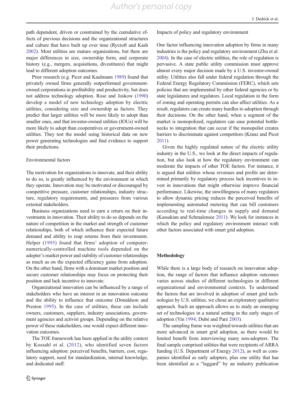path dependent, driven or constrained by the cumulative effects of previous decisions and the organizational structures and culture that have built up over time (Rycroft and Kash [2002\)](#page-14-0). Most utilities are mature organizations, but there are major differences in size, ownership form, and corporate history (e.g., mergers, acquisitions, divestitures) that might lead to different adoption outcomes.

Prior research (e.g. Picot and Kaulmann [1989\)](#page-14-0) found that privately owned firms generally outperformed governmentowned corporations in profitability and productivity, but does not address technology adoption. Rose and Joskow [\(1990\)](#page-14-0) develop a model of new technology adoption by electric utilities, considering size and ownership as factors. They predict that larger utilities will be more likely to adopt than smaller ones, and that investor-owned utilities (IOUs) will be more likely to adopt than cooperatives or government-owned utilities. They test the model using historical data on new power generating technologies and find evidence to support their predictions.

#### Environmental factors

The motivation for organizations to innovate, and their ability to do so, is greatly influenced by the environment in which they operate. Innovation may be motivated or discouraged by competitive pressure, customer relationships, industry structure, regulatory requirements, and pressures from various external stakeholders.

Business organizations need to earn a return on their investments in innovation. Their ability to do so depends on the nature of competition in the market and strength of customer relationships, both of which influence their expected future demand and ability to reap returns from their investments. Helper ([1995\)](#page-14-0) found that firms' adoption of computernumerically-controlled machine tools depended on the adopter's market power and stability of customer relationships as much as on the expected efficiency gains from adoption. On the other hand, firms with a dominant market position and secure customer relationships may focus on protecting their position and lack incentive to innovate.

Organizational innovation can be influenced by a range of stakeholders who have an interest in an innovation outcome and the ability to influence that outcome (Donaldson and Preston [1995\)](#page-13-0). In the case of utilities, these can include owners, customers, suppliers, industry associations, government agencies and activist groups. Depending on the relative power of these stakeholders, one would expect different innovation outcomes.

The TOE framework has been applied in the utility context by Kossahl et al. [\(2012](#page-14-0)), who identified seven factors influencing adoption: perceived benefits, barriers, cost, regulatory support, need for standardization, internal knowledge, and dedicated staff.

Impacts of policy and regulatory environment

One factor influencing innovation adoption by firms in many industries is the policy and regulatory environment (Zhu et al. [2004\)](#page-14-0). In the case of electric utilities, the role of regulation is pervasive. A state public utility commission must approve almost every major decision made by a U.S. investor-owned utility. Utilities also fall under federal regulation through the Federal Energy Regulatory Commission (FERC), which sets policies that are implemented by other federal agencies or by state legislatures and regulators. Local regulation in the form of zoning and operating permits can also affect utilities. As a result, regulators can create many hurdles to adoption through their decisions. On the other hand, when a segment of the market is monopolized, regulators can ease potential bottlenecks to integration that can occur if the monopolist creates barriers to discriminate against competitors (Kranz and Picot [2011](#page-14-0)).

Given the highly regulated nature of the electric utility industry in the U.S., we look at the direct impacts of regulation, but also look at how the regulatory environment can moderate the impacts of other TOE factors. For instance, it is argued that utilities whose revenues and profits are determined primarily by regulatory process lack incentives to invest in innovations that might otherwise improve financial performance. Likewise, the unwillingness of many regulators to allow dynamic pricing reduces the perceived benefits of implementing automated metering that can bill customers according to real-time changes in supply and demand (Kassakian and Schmalensee [2011](#page-14-0)). We look for instances in which the policy and regulatory environment interact with other factors associated with smart grid adoption.

#### Methodology

While there is a large body of research on innovation adoption, the range of factors that influence adoption outcomes varies across studies of different technologies in different organizational and environmental contexts. To understand the factors that are involved in adoption of smart grid technologies by U.S. utilities, we chose an exploratory qualitative approach. Such an approach allows us to study an emerging set of technologies in a natural setting in the early stages of adoption (Yin [1994](#page-14-0); Dubé and Paré [2003](#page-13-0)).

The sampling frame was weighted towards utilities that are more advanced in smart grid adoption, as there would be limited benefit from interviewing many non-adopters. The final sample comprised utilities that were recipients of ARRA funding (U.S. Department of Energy [2012\)](#page-14-0), as well as companies identified as early adopters, plus one utility that has been identified as a "laggard" by an industry publication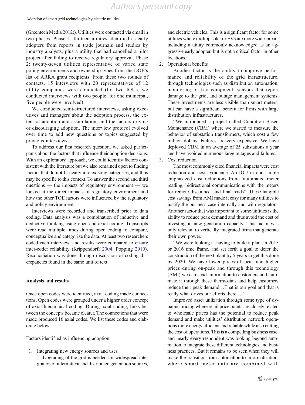(Greentech Media [2012](#page-14-0);). Utilities were contacted via email in two phases. Phase 1: thirteen utilities identified as early adopters from reports in trade journals and studies by industry analysts, plus a utility that had cancelled a pilot project after failing to receive regulatory approval. Phase 2: twenty-seven utilities representative of varied state policy environments and ownership types from the DOE's list of ARRA grant recipients. From these two rounds of contacts, 15 interviews with 20 representatives of 12 utility companies were conducted (for two IOUs, we conducted interviews with two people; for one municipal, five people were involved).

We conducted semi-structured interviews, asking executives and managers about the adoption process, the extent of adoption and assimilation, and the factors driving or discouraging adoption. The interview protocol evolved over time to add new questions or topics suggested by previous interviews.

To address our first research question, we asked participants about the factors that influence their adoption decisions. With an exploratory approach, we could identify factors consistent with the literature but we also remained open to finding factors that do not fit neatly into existing categories, and thus may be specific to this context. To answer the second and third questions — the impacts of regulatory environment — we looked at the direct impacts of regulatory environment and how the other TOE factors were influenced by the regulatory and policy environment.

Interviews were recorded and transcribed prior to data coding. Data analysis was a combination of inductive and deductive thinking using open and axial coding. Transcripts were read multiple times during open coding to compare, conceptualize and categorize the data. At least two researchers coded each interview, and results were compared to ensure inter-coder reliability (Krippendorff [2004](#page-14-0); Popping [2010](#page-14-0)). Reconciliation was done through discussion of coding discrepancies found in the same unit of text.

# Analysis and results

Once open codes were identified, axial coding made connections. Open codes were grouped under a higher order concept of axial hierarchical coding. During axial coding, links between the concepts became clearer. The connections that were made produced 16 axial codes. We list these codes and elaborate below.

Factors identified as influencing adoption

- 1. Integrating new energy sources and uses
	- Upgrading of the grid is needed for widespread integration of intermittent and distributed generation sources,

and electric vehicles. This is a significant factor for some utilities where rooftop solar or EVs are more widespread, including a utility commonly acknowledged as an aggressive early adopter, but is not a critical factor in other locations.

2. Operational benefits

Another factor is the ability to improve performance and reliability of the grid infrastructure, through technologies such as distribution automation, monitoring of key equipment, sensors that report damage to the grid, and outage management systems. These investments are less visible than smart meters, but can have a significant benefit for firms with large distribution infrastructures.

"We introduced a project called Condition Based Maintenance (CBM) where we started to measure the behavior of substation transformers, which cost a few million dollars. Failures are very expensive. We have deployed CBM in an average of 25 substations a year and have avoided numerous large outages and failures."

3. Cost reduction

The most commonly cited financial impacts were cost reduction and cost avoidance. An IOU in our sample emphasized cost reductions from "automated meter reading, bidirectional communications with the meters for remote disconnect and final reads". These tangible cost savings from AMI made it easy for many utilities to justify the business case internally and with regulators. Another factor that was important to some utilities is the ability to reduce peak demand and thus avoid the cost of investing in new generation capacity. This factor was only relevant to vertically integrated firms that generate their own power.

"We were looking at having to build a plant in 2015 or 2016 time frame, and set forth a goal to defer the construction of the next plant by 5 years to get this done by 2020. We have lower prices off-peak and higher prices during on-peak and through this technology (AMI) we can send information to customers and automate it through these thermostats and help customers reduce their peak demand…That is our goal and that is really what drives our efforts there…"

Improved asset utilization through some type of dynamic pricing where retail price points are closely related to wholesale prices has the potential to reduce peak demand and make utilities' distribution network operations more energy efficient and reliable while also cutting the cost of operations. This is a compelling business case, and nearly every respondent was looking beyond automation to integrate these different technologies and business practices. But it remains to be seen when they will make the transition from automation to informatization, where smart meter data are combined with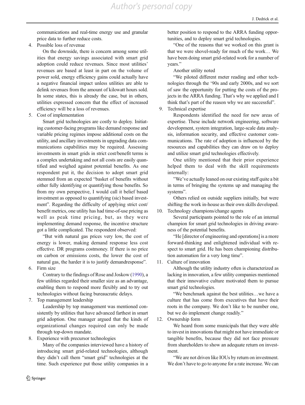communications and real-time energy use and granular price data to further reduce costs.

4. Possible loss of revenue

On the downside, there is concern among some utilities that energy savings associated with smart grid adoption could reduce revenues. Since most utilities' revenues are based at least in part on the volume of power sold, energy efficiency gains could actually have a negative financial impact unless utilities are able to delink revenues from the amount of kilowatt hours sold. In some states, this is already the case, but in others, utilities expressed concern that the effect of increased efficiency will be a loss of revenues.

5. Cost of implementation

Smart grid technologies are costly to deploy. Initiating customer-facing programs like demand response and variable pricing regimes impose additional costs on the utility, and ancillary investments in upgrading data communications capabilities may be required. Assessing investments in smart grids in strict cost/benefit terms is a complex undertaking and not all costs are easily quantified and weighed against potential benefits. As one respondent put it, the decision to adopt smart grid stemmed from an expected "basket of benefits without either fully identifying or quantifying those benefits. So from my own perspective, I would call it belief based investment as opposed to quantifying (sic) based investment". Regarding the difficulty of applying strict cost/ benefit metrics, one utility has had time-of-use pricing as well as peak time pricing, but, as they were implementing demand response, the incentive structure got a little complicated. The respondent observed:

"But with natural gas prices very low, the cost of energy is lower, making demand response less cost effective. DR programs costmoney. If there is no price on carbon or emissions costs, the lower the cost of natural gas, the harder it is to justify demandresponse". 6. Firm size

Contrary to the findings of Rose and Joskow ([1990](#page-14-0)), a few utilities regarded their smaller size as an advantage, enabling them to respond more flexibly and to try out technologies without facing bureaucratic delays.

7. Top management leadership

Leadership by top management was mentioned consistently by utilities that have advanced farthest in smart grid adoption. One manager argued that the kinds of organizational changes required can only be made through top-down mandate.

8. Experience with precursor technologies

Many of the companies interviewed have a history of introducing smart grid-related technologies, although they didn't call them "smart grid" technologies at the time. Such experience put those utility companies in a

better position to respond to the ARRA funding opportunities, and to deploy smart grid technologies.

"One of the reasons that we worked on this grant is that we were shovel-ready for much of the work… We have been doing smart grid-related work for a number of years."

Another utility noted

"We piloted different meter reading and other technologies through the '90s and early 2000s, and we sort of saw the opportunity for putting the costs of the projects in the ARRA funding. That's why we applied and I think that's part of the reason why we are successful".

9. Technical expertise

Respondents identified the need for new areas of expertise. These include network engineering, software development, system integration, large-scale data analysis, information security, and effective customer communications. The rate of adoption is influenced by the resources and capabilities they can draw on to deploy and utilize smart grid technologies effectively.

One utility mentioned that their prior experience helped them to deal with the skill requirements internally:

"We've actually leaned on our existing staff quite a bit in terms of bringing the systems up and managing the systems".

Others relied on outside suppliers initially, but were shifting the work in-house as their own skills developed. 10. Technology champions/change agents

Several participants pointed to the role of an internal champion for smart grid technologies in driving awareness of the potential benefits.

"He [director of engineering and operations] is a more forward-thinking and enlightened individual with respect to smart grid. He has been championing distribution automation for a very long time".

11. Culture of innovation

Although the utility industry often is characterized as lacking in innovation, a few utility companies mentioned that their innovative culture motivated them to pursue smart grid technologies.

"We benchmark against the best utilities…we have a culture that has come from executives that have their roots in the company. We don't like to be number one, but we do implement change readily."

12. Ownership form

We heard from some municipals that they were able to invest in innovations that might not have immediate or tangible benefits, because they did not face pressure from shareholders to show an adequate return on investment.

"We are not driven like IOUs by return on investment. We don't have to go to anyone for a rate increase. We can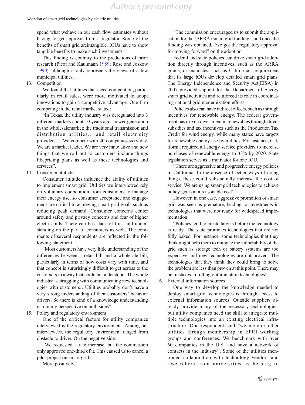spend what wehave in our cash flow estimates without having to get approval from a regulator. Some of the benefits of smart grid areintangible. IOUs have to show tangible benefits to make such investments"

This finding is contrary to the predictions of prior research (Picot and Kaulmann [1989;](#page-14-0) Rose and Joskow [1990\)](#page-14-0), although it only represents the views of a few municipal utilities.

# 13. Competition

We found that utilities that faced competition, particularly in retail sales, were more motivated to adopt innovations to gain a competitive advantage. One firm competing in the retail market stated:

"In Texas, the utility industry was deregulated into 3 different markets about 10 years ago: power generation in the wholesalemarket; the traditional transmission and distribution utilities… and retail electricity providers…"We compete with 40 companiesevery day. We are a market leader. We are very innovative and new things that we roll out to customers include things likepricing plans as well as these technologies and services".

14. Consumer attitudes

Consumer attitudes influence the ability of utilities to implement smart grid. Utilities we interviewed rely on voluntary cooperation from consumers to manage their energy use, so consumer acceptance and engagement are critical to achieving smart grid goals such as reducing peak demand. Consumer concerns center around safety and privacy concerns and fear of higher electric bills. There can be a lack of trust and understanding on the part of consumers as well. The comments of several respondents are reflected in the following statement:

"Most customers have very little understanding of the differences between a retail bill and a wholesale bill, particularly in terms of how costs vary with time, and that concept is surprisingly difficult to get across to the customers in a way that could be understood. The whole industry is struggling with communicating new technologies with customers…Utilities probably don't have a very strong understanding of their customers' behavior drivers. So there is kind of a knowledge understanding gap in my perspective on both sides".

15. Policy and regulatory environment

One of the critical factors for utility companies interviewed is the regulatory environment. Among our interviewees, the regulatory environment ranged from obstacle to driver. On the negative side:

"We requested a rate increase, but the commission only approved one-third of it. This caused us to cancel a pilot project on smart grid."

More positively,

"The commission encouraged us to submit the application for the (ARRA) smart grid funding", and once the funding was obtained, "we got the regulatory approval for moving forward" on the adoption.

Federal and state policies can drive smart grid adoption directly through incentives, such as the ARRA grants, or mandates, such as California's requirement that its large IOUs develop detailed smart grid plans. The Energy Independence and Security Act(EISA) in 2007 provided support for the Department of Energy smart grid activities and reinforced its role in coordinating national grid modernization efforts.

Policies also can have indirect effects, such as through incentives for renewable energy. The federal government has driven investment in renewables through direct subsidies and tax incentives such as the Production Tax Credit for wind energy, while many states have targets for renewable energy use by utilities. For instance, California required all energy service providers to increase purchases of renewable energy to 33% by 2020. State legislation serves as a motivator for one IOU.

"There are aggressive and progressive energy policies in California. In the absence of better ways of doing things, these could substantially increase the cost of service. We are using smart grid technologies to achieve policy goals at a reasonable cost"

However, in one case, aggressive promotion of smart grid was seen as premature, leading to investments in technologies that were not ready for widespread implementation.

"Policies tend to create targets before the technology is ready. The state promotes technologies that are not fully baked. For instance, some technologies that they think might help them to mitigate the vulnerability of the grid such as storage tech or battery systems are too expensive and new technologies are not proven. The technologies that they think they could bring to solve the problem are less than proven at this point. There may be mistakes in rolling out immature technologies".

16. External information sources

One way to develop the knowledge needed to deploy smart grid technologies is through access to external information sources. Outside suppliers already provide many of the necessary technologies, but utility companies need the skill to integrate multiple technologies into an existing electrical infrastructure. One respondent said "we monitor other utilities through membership in EPRI working groups and conferences. We benchmark with over 60 companies in the U.S. and have a network of contacts in the industry". Some of the utilities mentioned collaboration with technology vendors and researchers from universities as helping to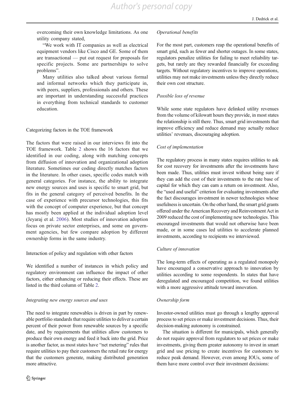overcoming their own knowledge limitations. As one utility company stated,

"We work with IT companies as well as electrical equipment vendors like Cisco and GE. Some of them are transactional — put out request for proposals for specific projects. Some are partnerships to solve problems".

Many utilities also talked about various formal and informal networks which they participate in, with peers, suppliers, professionals and others. These are important in understanding successful practices in everything from technical standards to customer education.

# Categorizing factors in the TOE framework

The factors that were raised in our interviews fit into the TOE framework. Table [2](#page-10-0) shows the 16 factors that we identified in our coding, along with matching concepts from diffusion of innovation and organizational adoption literature. Sometimes our coding directly matches factors in the literature. In other cases, specific codes match with general categories. For instance, the ability to integrate new energy sources and uses is specific to smart grid, but fits in the general category of perceived benefits. In the case of experience with precursor technologies, this fits with the concept of computer experience, but that concept has mostly been applied at the individual adoption level (Jeyaraj et al. [2006](#page-14-0)). Most studies of innovation adoption focus on private sector enterprises, and some on government agencies, but few compare adoption by different ownership forms in the same industry.

Interaction of policy and regulation with other factors

We identified a number of instances in which policy and regulatory environment can influence the impact of other factors, either enhancing or reducing their effects. These are listed in the third column of Table [2](#page-10-0).

# Integrating new energy sources and uses

The need to integrate renewables is driven in part by renewable portfolio standards that require utilities to deliver a certain percent of their power from renewable sources by a specific date, and by requirements that utilities allow customers to produce their own energy and feed it back into the grid. Price is another factor, as most states have "net metering" rules that require utilities to pay their customers the retail rate for energy that the customers generate, making distributed generation more attractive.

# Operational benefits

For the most part, customers reap the operational benefits of smart grid, such as fewer and shorter outages. In some states, regulators penalize utilities for failing to meet reliability targets, but rarely are they rewarded financially for exceeding targets. Without regulatory incentives to improve operations, utilities may not make investments unless they directly reduce their own cost structure.

# Possible loss of revenue

While some state regulators have delinked utility revenues from the volume of kilowatt hours they provide, in most states the relationship is still there. Thus, smart grid investments that improve efficiency and reduce demand may actually reduce utilities' revenues, discouraging adoption.

# Cost of implementation

The regulatory process in many states requires utilities to ask for cost recovery for investments after the investments have been made. Thus, utilities must invest without being sure if they can add the cost of their investments to the rate base of capital for which they can earn a return on investment. Also, the "used and useful" criterion for evaluating investments after the fact discourages investment in newer technologies whose usefulness is uncertain. On the other hand, the smart grid grants offered under the American Recovery and Reinvestment Act in 2009 reduced the cost of implementing new technologies. This encouraged investments that would not otherwise have been made, or in some cases led utilities to accelerate planned investments, according to recipients we interviewed.

# Culture of innovation

The long-term effects of operating as a regulated monopoly have encouraged a conservative approach to innovation by utilities according to some respondents. In states that have deregulated and encouraged competition, we found utilities with a more aggressive attitude toward innovation.

# Ownership form

Investor-owned utilities must go through a lengthy approval process to set prices or make investment decisions. Thus, their decision-making autonomy is constrained.

The situation is different for municipals, which generally do not require approval from regulators to set prices or make investments, giving them greater autonomy to invest in smart grid and use pricing to create incentives for customers to reduce peak demand. However, even among IOUs, some of them have more control over their investment decisions: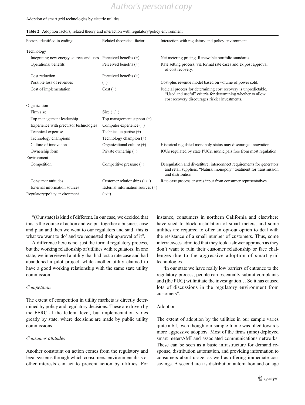# *Author's personal copy*

#### <span id="page-10-0"></span>Adoption of smart grid technologies by electric utilities

|  |  | Table 2 Adoption factors, related theory and interaction with regulatory/policy environment |  |  |  |
|--|--|---------------------------------------------------------------------------------------------|--|--|--|
|--|--|---------------------------------------------------------------------------------------------|--|--|--|

| Factors identified in coding            | Related theoretical factor         | Interaction with regulatory and policy environment                                                                                                                                |  |  |
|-----------------------------------------|------------------------------------|-----------------------------------------------------------------------------------------------------------------------------------------------------------------------------------|--|--|
| Technology                              |                                    |                                                                                                                                                                                   |  |  |
| Integrating new energy sources and uses | Perceived benefits (+)             | Net metering pricing. Renewable portfolio standards.                                                                                                                              |  |  |
| Operational benefits                    | Perceived benefits $(+)$           | Rate setting process, via formal rate cases and ex post approval<br>of cost recovery.                                                                                             |  |  |
| Cost reduction                          | Perceived benefits $(+)$           |                                                                                                                                                                                   |  |  |
| Possible loss of revenues               | $(-)$                              | Cost-plus revenue model based on volume of power sold.                                                                                                                            |  |  |
| Cost of implementation                  | $Cost (-)$                         | Judicial process for determining cost recovery is unpredictable.<br>"Used and useful" criteria for determining whether to allow<br>cost recovery discourages riskier investments. |  |  |
| Organization                            |                                    |                                                                                                                                                                                   |  |  |
| Firm size                               | Size $(+/-)$                       |                                                                                                                                                                                   |  |  |
| Top management leadership               | Top management support $(+)$       |                                                                                                                                                                                   |  |  |
| Experience with precursor technologies  | Computer experience $(+)$          |                                                                                                                                                                                   |  |  |
| Technical expertise                     | Technical expertise $(+)$          |                                                                                                                                                                                   |  |  |
| Technology champions                    | Technology champion $(+)$          |                                                                                                                                                                                   |  |  |
| Culture of innovation                   | Organizational culture $(+)$       | Historical regulated monopoly status may discourage innovation.                                                                                                                   |  |  |
| Ownership form                          | Private ownerhip $(-)$             | IOUs regulated by state PUCs, municipals free from most regulation.                                                                                                               |  |  |
| Environment                             |                                    |                                                                                                                                                                                   |  |  |
| Competition                             | Competitive pressure $(+)$         | Deregulation and divestiture, interconnect requirements for generators<br>and retail suppliers. "Natural monopoly" treatment for transmission<br>and distribution.                |  |  |
| Consumer attitudes                      | Customer relationships $(+/-)$     | Rate case process ensures input from consumer representatives.                                                                                                                    |  |  |
| External information sources            | External information sources $(+)$ |                                                                                                                                                                                   |  |  |
| Regulatory/policy environment           | $(+/-)$                            |                                                                                                                                                                                   |  |  |

"(Our state) is kind of different. In our case, we decided that this is the course of action and we put together a business case and plan and then we went to our regulators and said 'this is what we want to do' and we requested their approval of it".

A difference here is not just the formal regulatory process, but the working relationship of utilities with regulators. In one state, we interviewed a utility that had lost a rate case and had abandoned a pilot project, while another utility claimed to have a good working relationship with the same state utility commission.

#### Competition

The extent of competition in utility markets is directly determined by policy and regulatory decisions. These are driven by the FERC at the federal level, but implementation varies greatly by state, where decisions are made by public utility commissions

#### Consumer attitudes

Another constraint on action comes from the regulatory and legal systems through which consumers, environmentalists or other interests can act to prevent action by utilities. For instance, consumers in northern California and elsewhere have sued to block installation of smart meters, and some utilities are required to offer an opt-out option to deal with the resistance of a small number of customers. Thus, some interviewees admitted that they took a slower approach as they don't want to ruin their customer relationship or face challenges due to the aggressive adoption of smart grid technologies.

"In our state we have really low barriers of entrance to the regulatory process; people can essentially submit complaints and (the PUC) willinitiate the investigation… So it has caused lots of discussions in the regulatory environment from customers".

#### Adoption

The extent of adoption by the utilities in our sample varies quite a bit, even though our sample frame was tilted towards more aggressive adopters. Most of the firms (nine) deployed smart meter/AMI and associated communications networks. These can be seen as a basic infrastructure for demand response, distribution automation, and providing information to consumers about usage, as well as offering immediate cost savings. A second area is distribution automation and outage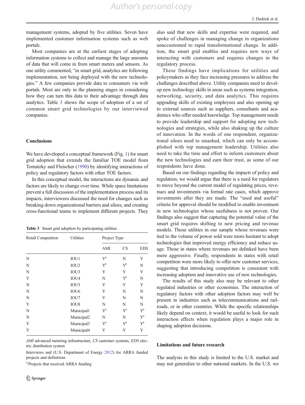management systems, adopted by five utilities. Seven have implemented customer information systems such as web portals.

Most companies are at the earliest stages of adopting information systems to collect and manage the large amounts of data that will come in from smart meters and sensors. As one utility commented, "in smart grid, analytics are following implementation, not being deployed with the new technologies." A few companies provide data to consumers via web portals. Most are only in the planning stages in considering how they can turn this data to their advantage through data analytics. Table 3 shows the scope of adoption of a set of common smart grid technologies by our interviewed companies.

#### Conclusions

We have developed a conceptual framework (Fig. [1](#page-12-0)) for smart grid adoption that extends the familiar TOE model from Tornatzky and Fleischer ([1990](#page-14-0)) by identifying interactions of policy and regulatory factors with other TOE factors.

In this conceptual model, the interactions are dynamic and factors are likely to change over time. While space limitations prevent a full discussion of the implementation process and its impacts, interviewees discussed the need for changes such as breaking down organizational barriers and siloes, and creating cross-functional teams to implement different projects. They

Table 3 Smart grid adoption by participating utilities

| Retail Competition | Utilities        | Project Type |           |                         |
|--------------------|------------------|--------------|-----------|-------------------------|
|                    |                  | AMI          | <b>CS</b> | <b>EDS</b>              |
| N                  | IOU1             | $Y^a$        | N         | Y                       |
| N                  | IOU <sub>2</sub> | $Y^a$        | $Y^a$     | N                       |
| N                  | IOU3             | Y            | Y         | Y                       |
| Y                  | IOU4             | N            | $Y^a$     | N                       |
| N                  | IOU <sub>5</sub> | Y            | Y         | Y                       |
| N                  | IOU <sub>6</sub> | Y            | N         | N                       |
| N                  | IOU7             | Y            | N         | N                       |
| Y                  | IOU8             | N            | N         | N                       |
| N                  | Municipal1       | $Y^a$        | $Y^a$     | $Y^a$                   |
| N                  | Municipal2       | N            | N         | $Y^a$                   |
| Y                  | Municipal3       | $Y^a$        | $Y^a$     | $\mathbf{Y}^{\text{a}}$ |
| Y                  | Municipal4       | Y            | Y         | Y                       |

AMI advanced metering infrastructure, CS customer systems, EDS electric distribution system

Interviews and (U.S. Department of Energy [2012\)](#page-14-0) for ARRA funded projects and definitions

<sup>a</sup> Projects that received ARRA funding

also said that new skills and expertise were required, and spoke of challenges in managing change in organizations unaccustomed to rapid transformational change. In addition, the smart grid enables and requires new ways of interacting with customers and requires changes in the regulatory process.

These findings have implications for utilities and policymakers as they face increasing pressures to address the challenges described above. Utility companies need to develop new technology skills in areas such as systems integration, networking, security, and data analytics. This requires upgrading skills of existing employees and also opening up to external sources such as suppliers, consultants and academics who offer needed knowledge. Top management needs to provide leadership and support for adopting new technologies and strategies, while also shaking up the culture of innovation. In the words of one respondent, organizational siloes need to smashed, which can only be accomplished with top management leadership. Utilities also need to take the time and effort to inform customers about the new technologies and earn their trust, as some of our respondents have done.

Based on our findings regarding the impacts of policy and regulation, we would argue that there is a need for regulators to move beyond the current model of regulating prices, revenues and investments via formal rate cases, which approve investments after they are made. The "used and useful" criteria for approval should be modified to enable investment in new technologies whose usefulness is not proven. Our findings also suggest that capturing the potential value of the smart grid requires shifting to new pricing and revenue models. Those utilities in our sample whose revenues were tied to the volume of power sold were more hesitant to adopt technologies that improved energy efficiency and reduce usage. Those in states where revenues are delinked have been more aggressive. Finally, respondents in states with retail competition were more likely to offer new customer services, suggesting that introducing competition is consistent with increasing adoption and innovative use of new technologies.

The results of this study also may be relevant to other regulated industries or other economies. The interaction of regulatory factors with other adoption factors may well be present in industries such as telecommunications and railroads, or in other countries. While the specific relationships likely depend on context, it would be useful to look for such interaction effects when regulation plays a major role in shaping adoption decisions.

#### Limitations and future research

The analysis in this study is limited to the U.S. market and may not generalize to other national markets. In the U.S. we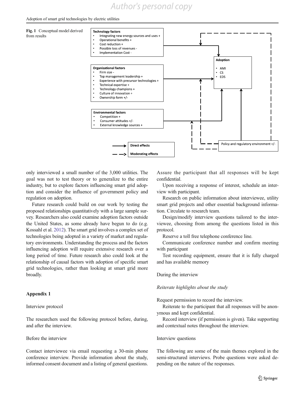<span id="page-12-0"></span>Adoption of smart grid technologies by electric utilities

from results



only interviewed a small number of the 3,000 utilities. The goal was not to test theory or to generalize to the entire industry, but to explore factors influencing smart grid adoption and consider the influence of government policy and regulation on adoption.

Future research could build on our work by testing the proposed relationships quantitatively with a large sample survey. Researchers also could examine adoption factors outside the United States, as some already have begun to do (e.g. Kossahl et al. [2012\)](#page-14-0). The smart grid involves a complex set of technologies being adopted in a variety of market and regulatory environments. Understanding the process and the factors influencing adoption will require extensive research over a long period of time. Future research also could look at the relationship of causal factors with adoption of specific smart grid technologies, rather than looking at smart grid more broadly.

# Appendix 1

#### Interview protocol

The researchers used the following protocol before, during, and after the interview.

# Before the interview

Contact interviewee via email requesting a 30-min phone conference interview. Provide information about the study, informed consent document and a listing of general questions.

Assure the participant that all responses will be kept confidential.

Upon receiving a response of interest, schedule an interview with participant.

Research on public information about interviewee, utility smart grid projects and other essential background information. Circulate to research team.

Design/modify interview questions tailored to the interviewee, choosing from among the questions listed in this protocol.

Reserve a toll free telephone conference line.

Communicate conference number and confirm meeting with participant

Test recording equipment, ensure that it is fully charged and has available memory

# During the interview

# Reiterate highlights about the study

Request permission to record the interview.

Reiterate to the participant that all responses will be anonymous and kept confidential.

Record interview (if permission is given). Take supporting and contextual notes throughout the interview.

# Interview questions

The following are some of the main themes explored in the semi-structured interviews. Probe questions were asked depending on the nature of the responses.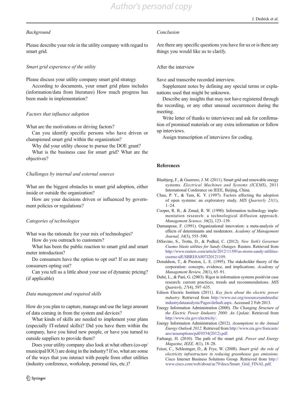# <span id="page-13-0"></span>**Background**

Please describe your role in the utility company with regard to smart grid.

# Smart grid experience of the utility

Please discuss your utility company smart grid strategy

According to documents, your smart grid plans includes (information/data from literature) How much progress has been made in implementation?

#### Factors that influence adoption

What are the motivations or driving factors?

Can you identify specific persons who have driven or championed smart grid within the organization?

Why did your utility choose to pursue the DOE grant?

What is the business case for smart grid? What are the objectives?

#### Challenges by internal and external sources

What are the biggest obstacles to smart grid adoption, either inside or outside the organization?

How are your decisions driven or influenced by government policies or regulations?

# Categories of technologies

What was the rationale for your mix of technologies?

How do you outreach to customers?

What has been the public reaction to smart grid and smart meter introduction?

Do consumers have the option to opt out? If so are many consumers opting out?

Can you tell us a little about your use of dynamic pricing? (if applicable)

#### Data management and required skills

How do you plan to capture, manage and use the large amount of data coming in from the system and devices?

What kinds of skills are needed to implement your plans (especially IT-related skills)? Did you have them within the company, have you hired new people, or have you turned to outside suppliers to provide them?

Does your utility company also look at what others (co-op/ municipal/IOU) are doing in the industry? If so, what are some of the ways that you interact with people from other utilities (industry conference, workshop, personal ties, etc.)?

#### Conclusion

Are there any specific questions you have for us or is there any things you would like us to clarify.

#### After the interview

Save and transcribe recorded interview.

Supplement notes by defining any special terms or explanations used that might be unknown.

Describe any insights that may not have registered through the recording, or any other unusual occurrences during the meeting.

Write letter of thanks to interviewee and ask for confirmation of promised materials or any extra information or follow up interviews.

Assign transcription of interviews for coding.

#### References

- Blaabjerg, F., & Guerrero, J. M. (2011). Smart grid and renewable energy systems. Electrical Machines and Systems (ICEMS), 2011 International Conference on IEEE, Beijing, China.
- Chau, P. Y., & Tam, K. Y. (1997). Factors affecting the adoption of open systems: an exploratory study. MIS Quarterly 21(1),  $1 - 24$
- Cooper, R. B., & Zmud, R. W. (1990). Information technology implementation research: a technological diffusion approach. Management Science, 36(2), 123–139.

Damanpour, F. (1991). Organizational innovation: a meta-analysis of effects of determinants and moderators. Academy of Management Journal, 34(3), 555–590.

- DiSavino, S., Trotta, D., & Podkul, C. (2012). New York's Governor Cuomo blasts utilities for Sandy Outages. Reuters. Retrieved from [http://www.reuters.com/article/2012/11/09/us-storm-sandy-utilities](http://www.reuters.com/article/2012/11/09/us-storm-sandy-utilities-cuomo-idUSBRE8A807J20121109)[cuomo-idUSBRE8A807J20121109.](http://www.reuters.com/article/2012/11/09/us-storm-sandy-utilities-cuomo-idUSBRE8A807J20121109)
- Donaldson, T., & Preston, L. E. (1995). The stakeholder theory of the corporation: concepts, evidence, and implications. Academy of Management Review, 20(1), 65-91.
- Dubé, L., & Paré, G. (2003). Rigor in information systems positivist case research: current practices, trends and recommendations. MIS Quarterly, 27(4), 597–635.
- Edison Electric Institute (2011). Key facts about the electric power industry. Retrieved from [http://www.eei.org/resourcesandmedia/](http://www.eei.org/resourcesandmedia/industrydataanalysis/Pages/default.aspx) [industrydataanalysis/Pages/default.aspx.](http://www.eei.org/resourcesandmedia/industrydataanalysis/Pages/default.aspx) Accessed 2 Feb 2013.
- Energy Information Administration (2000). The Changing Structure of the Electric Power Iindustry 2000: An Update. Retrieved from <http://www.eia.gov/electricity/>.
- Energy Information Administration (2012). Assumptions to the Annual Energy Outlook 2012. Retrieved from [http://www.eia.gov/forecasts/](http://www.eia.gov/forecasts/aeo/assumptions/pdf/0554(2012).pdf) [aeo/assumptions/pdf/0554\(2012\).pdf.](http://www.eia.gov/forecasts/aeo/assumptions/pdf/0554(2012).pdf)
- Farhangi, H. (2010). The path of the smart grid. Power and Energy Magazine, IEEE, 8(1), 18–28.
- Feisst, C., Schlesinger, D., & Frye, W. (2008). Smart grid: the role of electricity infrastructure in reducing greenhouse gas emissions. Cisco Internet Business Solutions Group. Retrieved from [http://](http://www.cisco.com/web/about/ac79/docs/Smart_Grid_FINAL.pdf) [www.cisco.com/web/about/ac79/docs/Smart\\_Grid\\_FINAL.pdf.](http://www.cisco.com/web/about/ac79/docs/Smart_Grid_FINAL.pdf)